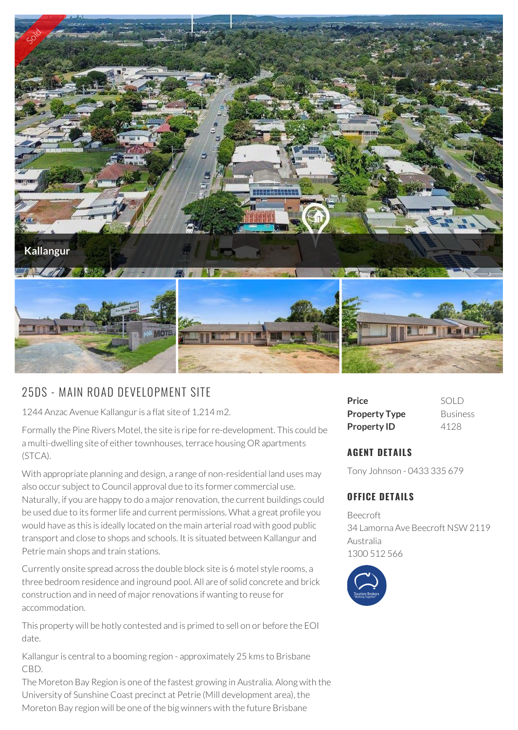

## 25DS - MAIN ROAD DEVELOPMENT SITE

1244 Anzac Avenue Kallangur is a flat site of 1,214 m2.

Formally the Pine Rivers Motel, the site is ripe for re-development. This could be a multi-dwelling site of either townhouses, terrace housing OR apartments (STCA).

With appropriate planning and design, a range of non-residential land uses may also occur subject to Council approval due to its former commercial use. Naturally, if you are happy to do a major renovation, the current buildings could be used due to its former life and current permissions. What a great profile you would have as this is ideally located on the main arterial road with good public transport and close to shops and schools. It is situated between Kallangur and Petrie main shops and train stations.

Currently onsite spread across the double block site is 6 motel style rooms, a three bedroom residence and inground pool. All are of solid concrete and brick construction and in need of major renovations if wanting to reuse for accommodation.

This property will be hotly contested and is primed to sell on or before the EOI date.

Kallangur is central to a booming region - approximately 25 kms to Brisbane CBD.

The Moreton Bay Region is one of the fastest growing in Australia. Along with the University of Sunshine Coast precinct at Petrie (Mill development area), the Moreton Bay region will be one of the big winners with the future Brisbane

| Price                | SOLD            |
|----------------------|-----------------|
| <b>Property Type</b> | <b>Business</b> |
| <b>Property ID</b>   | 4128            |

## **AGENT DETAILS**

Tony Johnson - 0433 335 679

## **OFFICE DETAILS**

Beecroft 34 Lamorna Ave Beecroft NSW 2119 Australia 1300 512 566